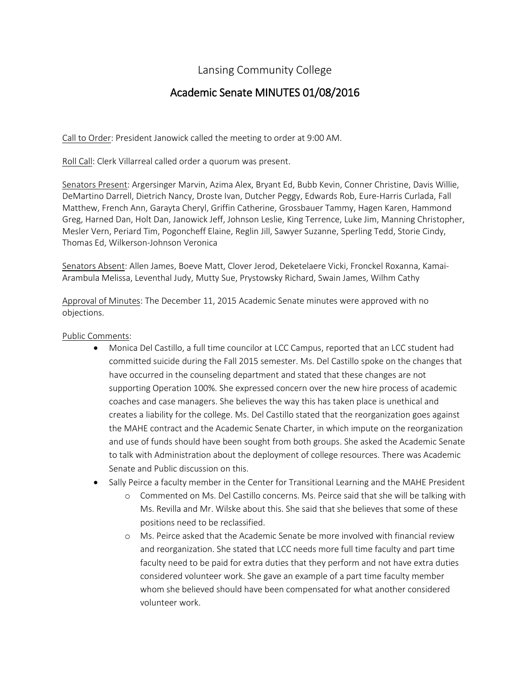## Lansing Community College

# Academic Senate MINUTES 01/08/2016

Call to Order: President Janowick called the meeting to order at 9:00 AM.

Roll Call: Clerk Villarreal called order a quorum was present.

Senators Present: Argersinger Marvin, Azima Alex, Bryant Ed, Bubb Kevin, Conner Christine, Davis Willie, DeMartino Darrell, Dietrich Nancy, Droste Ivan, Dutcher Peggy, Edwards Rob, Eure-Harris Curlada, Fall Matthew, French Ann, Garayta Cheryl, Griffin Catherine, Grossbauer Tammy, Hagen Karen, Hammond Greg, Harned Dan, Holt Dan, Janowick Jeff, Johnson Leslie, King Terrence, Luke Jim, Manning Christopher, Mesler Vern, Periard Tim, Pogoncheff Elaine, Reglin Jill, Sawyer Suzanne, Sperling Tedd, Storie Cindy, Thomas Ed, Wilkerson-Johnson Veronica

Senators Absent: Allen James, Boeve Matt, Clover Jerod, Deketelaere Vicki, Fronckel Roxanna, Kamai-Arambula Melissa, Leventhal Judy, Mutty Sue, Prystowsky Richard, Swain James, Wilhm Cathy

Approval of Minutes: The December 11, 2015 Academic Senate minutes were approved with no objections.

#### Public Comments:

- Monica Del Castillo, a full time councilor at LCC Campus, reported that an LCC student had committed suicide during the Fall 2015 semester. Ms. Del Castillo spoke on the changes that have occurred in the counseling department and stated that these changes are not supporting Operation 100%. She expressed concern over the new hire process of academic coaches and case managers. She believes the way this has taken place is unethical and creates a liability for the college. Ms. Del Castillo stated that the reorganization goes against the MAHE contract and the Academic Senate Charter, in which impute on the reorganization and use of funds should have been sought from both groups. She asked the Academic Senate to talk with Administration about the deployment of college resources. There was Academic Senate and Public discussion on this.
- Sally Peirce a faculty member in the Center for Transitional Learning and the MAHE President
	- o Commented on Ms. Del Castillo concerns. Ms. Peirce said that she will be talking with Ms. Revilla and Mr. Wilske about this. She said that she believes that some of these positions need to be reclassified.
	- o Ms. Peirce asked that the Academic Senate be more involved with financial review and reorganization. She stated that LCC needs more full time faculty and part time faculty need to be paid for extra duties that they perform and not have extra duties considered volunteer work. She gave an example of a part time faculty member whom she believed should have been compensated for what another considered volunteer work.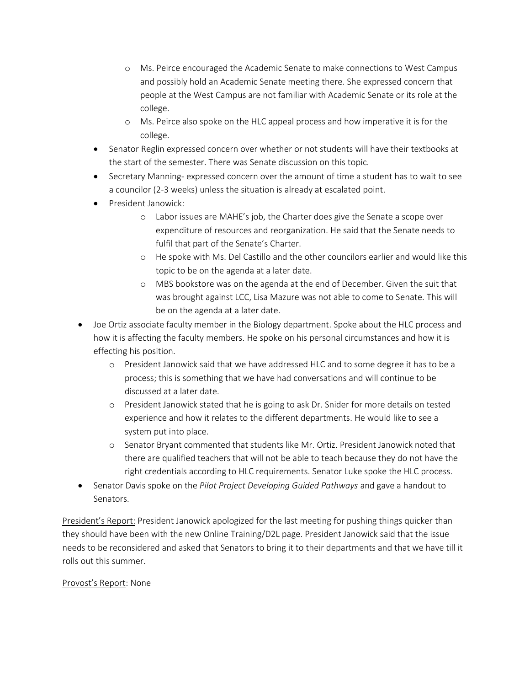- o Ms. Peirce encouraged the Academic Senate to make connections to West Campus and possibly hold an Academic Senate meeting there. She expressed concern that people at the West Campus are not familiar with Academic Senate or its role at the college.
- o Ms. Peirce also spoke on the HLC appeal process and how imperative it is for the college.
- Senator Reglin expressed concern over whether or not students will have their textbooks at the start of the semester. There was Senate discussion on this topic.
- Secretary Manning- expressed concern over the amount of time a student has to wait to see a councilor (2-3 weeks) unless the situation is already at escalated point.
- President Janowick:
	- o Labor issues are MAHE's job, the Charter does give the Senate a scope over expenditure of resources and reorganization. He said that the Senate needs to fulfil that part of the Senate's Charter.
	- o He spoke with Ms. Del Castillo and the other councilors earlier and would like this topic to be on the agenda at a later date.
	- o MBS bookstore was on the agenda at the end of December. Given the suit that was brought against LCC, Lisa Mazure was not able to come to Senate. This will be on the agenda at a later date.
- Joe Ortiz associate faculty member in the Biology department. Spoke about the HLC process and how it is affecting the faculty members. He spoke on his personal circumstances and how it is effecting his position.
	- o President Janowick said that we have addressed HLC and to some degree it has to be a process; this is something that we have had conversations and will continue to be discussed at a later date.
	- o President Janowick stated that he is going to ask Dr. Snider for more details on tested experience and how it relates to the different departments. He would like to see a system put into place.
	- o Senator Bryant commented that students like Mr. Ortiz. President Janowick noted that there are qualified teachers that will not be able to teach because they do not have the right credentials according to HLC requirements. Senator Luke spoke the HLC process.
- Senator Davis spoke on the *Pilot Project Developing Guided Pathways* and gave a handout to Senators.

President's Report: President Janowick apologized for the last meeting for pushing things quicker than they should have been with the new Online Training/D2L page. President Janowick said that the issue needs to be reconsidered and asked that Senators to bring it to their departments and that we have till it rolls out this summer.

## Provost's Report: None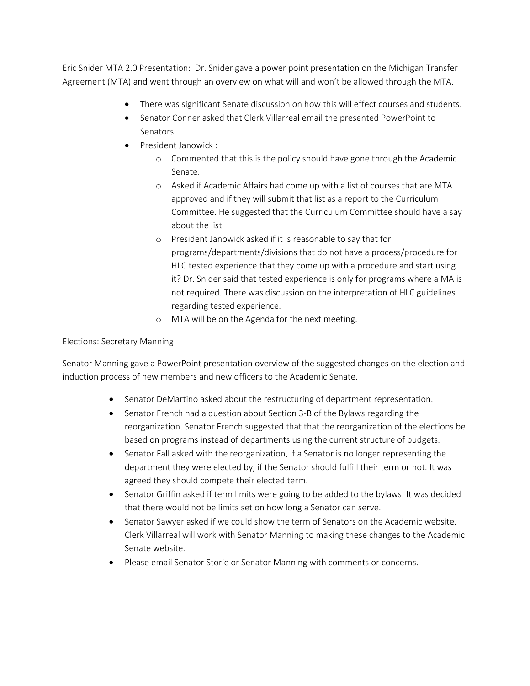Eric Snider MTA 2.0 Presentation: Dr. Snider gave a power point presentation on the Michigan Transfer Agreement (MTA) and went through an overview on what will and won't be allowed through the MTA.

- There was significant Senate discussion on how this will effect courses and students.
- Senator Conner asked that Clerk Villarreal email the presented PowerPoint to Senators.
- President Janowick :
	- o Commented that this is the policy should have gone through the Academic Senate.
	- o Asked if Academic Affairs had come up with a list of courses that are MTA approved and if they will submit that list as a report to the Curriculum Committee. He suggested that the Curriculum Committee should have a say about the list.
	- o President Janowick asked if it is reasonable to say that for programs/departments/divisions that do not have a process/procedure for HLC tested experience that they come up with a procedure and start using it? Dr. Snider said that tested experience is only for programs where a MA is not required. There was discussion on the interpretation of HLC guidelines regarding tested experience.
	- o MTA will be on the Agenda for the next meeting.

## Elections: Secretary Manning

Senator Manning gave a PowerPoint presentation overview of the suggested changes on the election and induction process of new members and new officers to the Academic Senate.

- Senator DeMartino asked about the restructuring of department representation.
- Senator French had a question about Section 3-B of the Bylaws regarding the reorganization. Senator French suggested that that the reorganization of the elections be based on programs instead of departments using the current structure of budgets.
- Senator Fall asked with the reorganization, if a Senator is no longer representing the department they were elected by, if the Senator should fulfill their term or not. It was agreed they should compete their elected term.
- Senator Griffin asked if term limits were going to be added to the bylaws. It was decided that there would not be limits set on how long a Senator can serve.
- Senator Sawyer asked if we could show the term of Senators on the Academic website. Clerk Villarreal will work with Senator Manning to making these changes to the Academic Senate website.
- Please email Senator Storie or Senator Manning with comments or concerns.